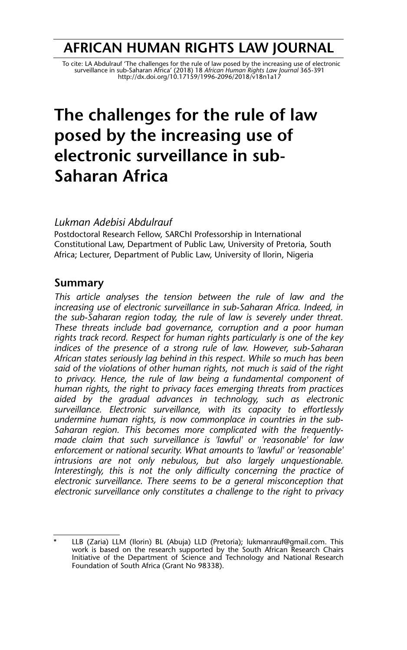# **AFRICAN HUMAN RIGHTS LAW JOURNAL**

To cite: LA Abdulrauf 'The challenges for the rule of law posed by the increasing use of electronic<br>surveillance in sub-Saharan Africa' (2018) 18 African Human Rights Law Journal 365-391<br>http://dx.doi.org/10.17159/1996-209

# **The challenges for the rule of law posed by the increasing use of electronic surveillance in sub-Saharan Africa**

#### *Lukman Adebisi Abdulrauf*

Postdoctoral Research Fellow, SARChI Professorship in International Constitutional Law, Department of Public Law, University of Pretoria, South Africa; Lecturer, Department of Public Law, University of Ilorin, Nigeria

#### **Summary**

*This article analyses the tension between the rule of law and the increasing use of electronic surveillance in sub-Saharan Africa. Indeed, in the sub-Saharan region today, the rule of law is severely under threat. These threats include bad governance, corruption and a poor human rights track record. Respect for human rights particularly is one of the key indices of the presence of a strong rule of law. However, sub-Saharan African states seriously lag behind in this respect. While so much has been said of the violations of other human rights, not much is said of the right to privacy. Hence, the rule of law being a fundamental component of human rights, the right to privacy faces emerging threats from practices aided by the gradual advances in technology, such as electronic surveillance. Electronic surveillance, with its capacity to effortlessly undermine human rights, is now commonplace in countries in the sub-Saharan region. This becomes more complicated with the frequentlymade claim that such surveillance is 'lawful' or 'reasonable' for law enforcement or national security. What amounts to 'lawful' or 'reasonable' intrusions are not only nebulous, but also largely unquestionable. Interestingly, this is not the only difficulty concerning the practice of electronic surveillance. There seems to be a general misconception that electronic surveillance only constitutes a challenge to the right to privacy*

<sup>\*</sup> LLB (Zaria) LLM (Ilorin) BL (Abuja) LLD (Pretoria); lukmanrauf@gmail.com. This work is based on the research supported by the South African Research Chairs Initiative of the Department of Science and Technology and National Research Foundation of South Africa (Grant No 98338).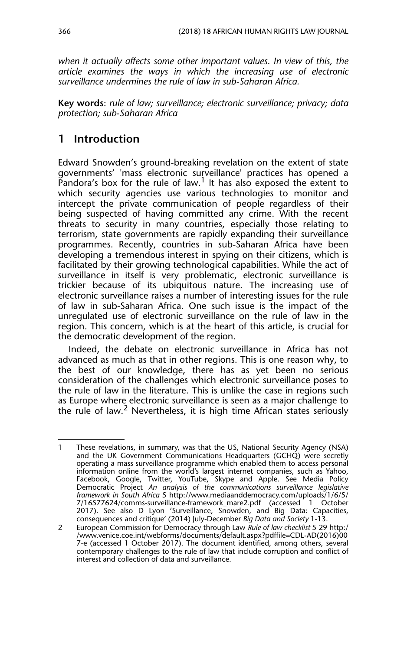*when it actually affects some other important values. In view of this, the article examines the ways in which the increasing use of electronic surveillance undermines the rule of law in sub-Saharan Africa.*

**Key words**: *rule of law; surveillance; electronic surveillance; privacy; data protection; sub-Saharan Africa*

# **1 Introduction**

Edward Snowden's ground-breaking revelation on the extent of state governments' 'mass electronic surveillance' practices has opened a Pandora's box for the rule of law.1 It has also exposed the extent to which security agencies use various technologies to monitor and intercept the private communication of people regardless of their being suspected of having committed any crime. With the recent threats to security in many countries, especially those relating to terrorism, state governments are rapidly expanding their surveillance programmes. Recently, countries in sub-Saharan Africa have been developing a tremendous interest in spying on their citizens, which is facilitated by their growing technological capabilities. While the act of surveillance in itself is very problematic, electronic surveillance is trickier because of its ubiquitous nature. The increasing use of electronic surveillance raises a number of interesting issues for the rule of law in sub-Saharan Africa. One such issue is the impact of the unregulated use of electronic surveillance on the rule of law in the region. This concern, which is at the heart of this article, is crucial for the democratic development of the region.

Indeed, the debate on electronic surveillance in Africa has not advanced as much as that in other regions. This is one reason why, to the best of our knowledge, there has as yet been no serious consideration of the challenges which electronic surveillance poses to the rule of law in the literature. This is unlike the case in regions such as Europe where electronic surveillance is seen as a major challenge to the rule of law.<sup>2</sup> Nevertheless, it is high time African states seriously

<sup>1</sup> These revelations, in summary, was that the US, National Security Agency (NSA) and the UK Government Communications Headquarters (GCHQ) were secretly operating a mass surveillance programme which enabled them to access personal information online from the world's largest internet companies, such as Yahoo, Facebook, Google, Twitter, YouTube, Skype and Apple. See Media Policy Democratic Project *An analysis of the communications surveillance legislative framework in South Africa* 5 http://www.mediaanddemocracy.com/uploads/1/6/5/ 7/16577624/comms-surveillance-framework\_mare2.pdf (accessed 1 October 2017). See also D Lyon 'Surveillance, Snowden, and Big Data: Capacities, consequences and critique' (2014) July-December *Big Data and Society* 1-13.

<sup>2</sup> European Commission for Democracy through Law *Rule of law checklist* 5 29 http:/ /www.venice.coe.int/webforms/documents/default.aspx?pdffile=CDL-AD(2016)00 7-e (accessed 1 October 2017). The document identified, among others, several contemporary challenges to the rule of law that include corruption and conflict of interest and collection of data and surveillance.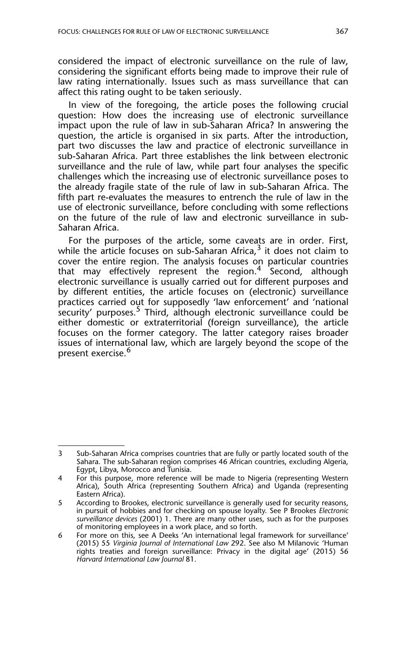considered the impact of electronic surveillance on the rule of law, considering the significant efforts being made to improve their rule of law rating internationally. Issues such as mass surveillance that can affect this rating ought to be taken seriously.

In view of the foregoing, the article poses the following crucial question: How does the increasing use of electronic surveillance impact upon the rule of law in sub-Saharan Africa? In answering the question, the article is organised in six parts. After the introduction, part two discusses the law and practice of electronic surveillance in sub-Saharan Africa. Part three establishes the link between electronic surveillance and the rule of law, while part four analyses the specific challenges which the increasing use of electronic surveillance poses to the already fragile state of the rule of law in sub-Saharan Africa. The fifth part re-evaluates the measures to entrench the rule of law in the use of electronic surveillance, before concluding with some reflections on the future of the rule of law and electronic surveillance in sub-Saharan Africa.

For the purposes of the article, some caveats are in order. First, while the article focuses on sub-Saharan Africa,  $3$  it does not claim to cover the entire region. The analysis focuses on particular countries that may effectively represent the region.<sup>4</sup> Second, although electronic surveillance is usually carried out for different purposes and by different entities, the article focuses on (electronic) surveillance practices carried out for supposedly 'law enforcement' and 'national security' purposes.<sup>5</sup> Third, although electronic surveillance could be either domestic or extraterritorial (foreign surveillance), the article focuses on the former category. The latter category raises broader issues of international law, which are largely beyond the scope of the present exercise.<sup>6</sup>

<sup>3</sup> Sub-Saharan Africa comprises countries that are fully or partly located south of the Sahara. The sub-Saharan region comprises 46 African countries, excluding Algeria, Egypt, Libya, Morocco and Tunisia.

<sup>4</sup> For this purpose, more reference will be made to Nigeria (representing Western Africa), South Africa (representing Southern Africa) and Uganda (representing Eastern Africa).

<sup>5</sup> According to Brookes, electronic surveillance is generally used for security reasons, in pursuit of hobbies and for checking on spouse loyalty. See P Brookes *Electronic surveillance devices* (2001) 1. There are many other uses, such as for the purposes of monitoring employees in a work place, and so forth.

<sup>6</sup> For more on this, see A Deeks 'An international legal framework for surveillance' (2015) 55 *Virginia Journal of International Law* 292. See also M Milanovic 'Human rights treaties and foreign surveillance: Privacy in the digital age' (2015) 56 *Harvard International Law Journal* 81.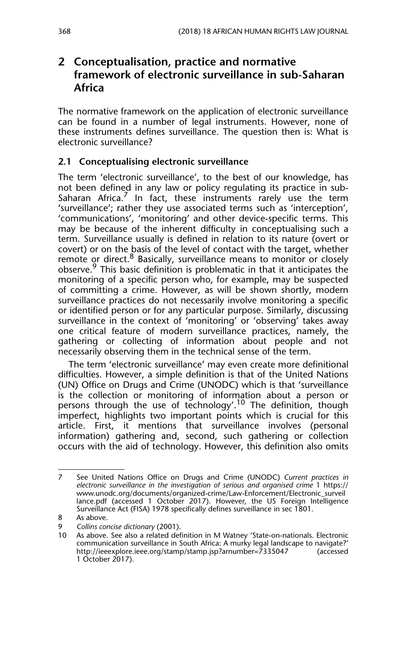# **2 Conceptualisation, practice and normative framework of electronic surveillance in sub-Saharan Africa**

The normative framework on the application of electronic surveillance can be found in a number of legal instruments. However, none of these instruments defines surveillance. The question then is: What is electronic surveillance?

#### **2.1 Conceptualising electronic surveillance**

The term 'electronic surveillance', to the best of our knowledge, has not been defined in any law or policy regulating its practice in sub-Saharan Africa.<sup> $\prime$ </sup> In fact, these instruments rarely use the term 'surveillance'; rather they use associated terms such as 'interception', 'communications', 'monitoring' and other device-specific terms. This may be because of the inherent difficulty in conceptualising such a term. Surveillance usually is defined in relation to its nature (overt or covert) or on the basis of the level of contact with the target, whether remote or direct.<sup>8</sup> Basically, surveillance means to monitor or closely observe.<sup>9</sup> This basic definition is problematic in that it anticipates the monitoring of a specific person who, for example, may be suspected of committing a crime. However, as will be shown shortly, modern surveillance practices do not necessarily involve monitoring a specific or identified person or for any particular purpose. Similarly, discussing surveillance in the context of 'monitoring' or 'observing' takes away one critical feature of modern surveillance practices, namely, the gathering or collecting of information about people and not necessarily observing them in the technical sense of the term.

The term 'electronic surveillance' may even create more definitional difficulties. However, a simple definition is that of the United Nations (UN) Office on Drugs and Crime (UNODC) which is that 'surveillance is the collection or monitoring of information about a person or persons through the use of technology'.<sup>10</sup> The definition, though imperfect, highlights two important points which is crucial for this article. First, it mentions that surveillance involves (personal information) gathering and, second, such gathering or collection occurs with the aid of technology. However, this definition also omits

<sup>7</sup> See United Nations Office on Drugs and Crime (UNODC) *Current practices in electronic surveillance in the investigation of serious and organised crime* 1 https:// www.unodc.org/documents/organized-crime/Law-Enforcement/Electronic\_surveil lance.pdf (accessed 1 October 2017). However, the US Foreign Intelligence Surveillance Act (FISA) 1978 specifically defines surveillance in sec 1801.

<sup>8</sup> As above.

<sup>9</sup> *Collins concise dictionary* (2001).

<sup>10</sup> As above. See also a related definition in M Watney 'State-on-nationals. Electronic communication surveillance in South Africa: A murky legal landscape to navigate?' http://ieeexplore.ieee.org/stamp/stamp.jsp?arnumber=7335047 1 October 2017).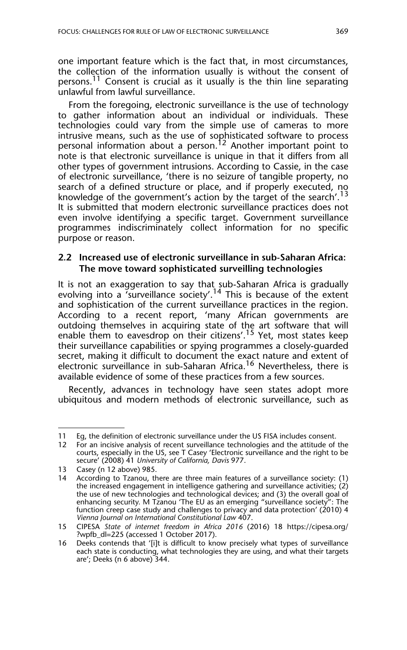one important feature which is the fact that, in most circumstances, the collection of the information usually is without the consent of persons.<sup>11</sup> Consent is crucial as it usually is the thin line separating unlawful from lawful surveillance.

From the foregoing, electronic surveillance is the use of technology to gather information about an individual or individuals. These technologies could vary from the simple use of cameras to more intrusive means, such as the use of sophisticated software to process personal information about a person.<sup>12</sup> Another important point to note is that electronic surveillance is unique in that it differs from all other types of government intrusions. According to Cassie, in the case of electronic surveillance, 'there is no seizure of tangible property, no search of a defined structure or place, and if properly executed, no knowledge of the government's action by the target of the search'.<sup>13</sup> It is submitted that modern electronic surveillance practices does not even involve identifying a specific target. Government surveillance programmes indiscriminately collect information for no specific purpose or reason.

#### **2.2 Increased use of electronic surveillance in sub-Saharan Africa: The move toward sophisticated surveilling technologies**

It is not an exaggeration to say that sub-Saharan Africa is gradually evolving into a 'surveillance society'.14 This is because of the extent and sophistication of the current surveillance practices in the region. According to a recent report, 'many African governments are outdoing themselves in acquiring state of the art software that will enable them to eavesdrop on their citizens'.<sup>15</sup> Yet, most states keep their surveillance capabilities or spying programmes a closely-guarded secret, making it difficult to document the exact nature and extent of electronic surveillance in sub-Saharan Africa.<sup>16</sup> Nevertheless, there is available evidence of some of these practices from a few sources.

Recently, advances in technology have seen states adopt more ubiquitous and modern methods of electronic surveillance, such as

<sup>11</sup> Eg, the definition of electronic surveillance under the US FISA includes consent.

<sup>12</sup> For an incisive analysis of recent surveillance technologies and the attitude of the courts, especially in the US, see T Casey 'Electronic surveillance and the right to be secure' (2008) 41 *University of California, Davis* 977.

<sup>13</sup> Casey (n 12 above) 985.

<sup>14</sup> According to Tzanou, there are three main features of a surveillance society: (1) the increased engagement in intelligence gathering and surveillance activities; (2) the use of new technologies and technological devices; and (3) the overall goal of enhancing security. M Tzanou 'The EU as an emerging "surveillance society": The function creep case study and challenges to privacy and data protection' (2010) 4 *Vienna Journal on International Constitutional Law* 407.

<sup>15</sup> CIPESA *State of internet freedom in Africa 2016* (2016) 18 https://cipesa.org/ ?wpfb\_dl=225 (accessed 1 October 2017).

<sup>16</sup> Deeks contends that '[i]t is difficult to know precisely what types of surveillance each state is conducting, what technologies they are using, and what their targets are'; Deeks (n 6 above) 344.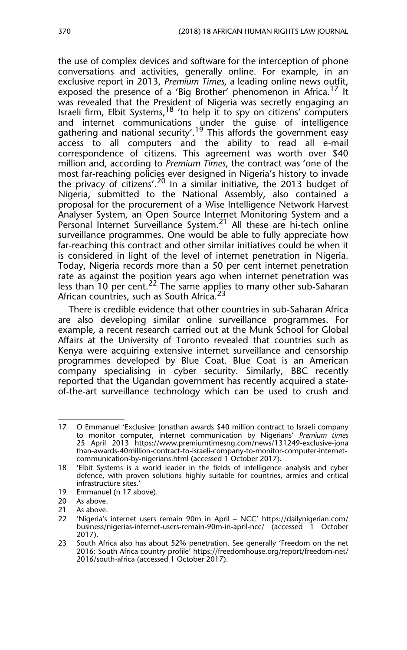the use of complex devices and software for the interception of phone conversations and activities, generally online. For example, in an exclusive report in 2013, *Premium Times*, a leading online news outfit, exposed the presence of a 'Big Brother' phenomenon in Africa.<sup>17</sup> It was revealed that the President of Nigeria was secretly engaging an Israeli firm, Elbit Systems,  $18$  'to help it to spy on citizens' computers and internet communications under the guise of intelligence gathering and national security'.<sup>19</sup> This affords the government easy access to all computers and the ability to read all e-mail correspondence of citizens. This agreement was worth over \$40 million and, according to *Premium Times*, the contract was 'one of the most far-reaching policies ever designed in Nigeria's history to invade the privacy of citizens'.<sup>20</sup> In a similar initiative, the 2013 budget of Nigeria, submitted to the National Assembly, also contained a proposal for the procurement of a Wise Intelligence Network Harvest Analyser System, an Open Source Internet Monitoring System and a Personal Internet Surveillance System.<sup>21</sup> All these are hi-tech online surveillance programmes. One would be able to fully appreciate how far-reaching this contract and other similar initiatives could be when it is considered in light of the level of internet penetration in Nigeria. Today, Nigeria records more than a 50 per cent internet penetration rate as against the position years ago when internet penetration was less than 10 per cent.<sup>22</sup> The same applies to many other sub-Saharan African countries, such as South Africa.<sup>23</sup>

There is credible evidence that other countries in sub-Saharan Africa are also developing similar online surveillance programmes. For example, a recent research carried out at the Munk School for Global Affairs at the University of Toronto revealed that countries such as Kenya were acquiring extensive internet surveillance and censorship programmes developed by Blue Coat. Blue Coat is an American company specialising in cyber security. Similarly, BBC recently reported that the Ugandan government has recently acquired a stateof-the-art surveillance technology which can be used to crush and

<sup>17</sup> O Emmanuel 'Exclusive: Jonathan awards \$40 million contract to Israeli company to monitor computer, internet communication by Nigerians' *Premium times* 25 April 2013 https://www.premiumtimesng.com/news/131249-exclusive-jona than-awards-40million-contract-to-israeli-company-to-monitor-computer-internetcommunication-by-nigerians.html (accessed 1 October 2017).

<sup>18 &#</sup>x27;Elbit Systems is a world leader in the fields of intelligence analysis and cyber defence, with proven solutions highly suitable for countries, armies and critical infrastructure sites.'

<sup>19</sup> Emmanuel (n 17 above).<br>20 As above.

As above.

<sup>21</sup> As above.

<sup>22 &#</sup>x27;Nigeria's internet users remain 90m in April – NCC' https://dailynigerian.com/ business/nigerias-internet-users-remain-90m-in-april-ncc/ (accessed 1 October 2017).

<sup>23</sup> South Africa also has about 52% penetration. See generally 'Freedom on the net 2016: South Africa country profile' https://freedomhouse.org/report/freedom-net/ 2016/south-africa (accessed 1 October 2017).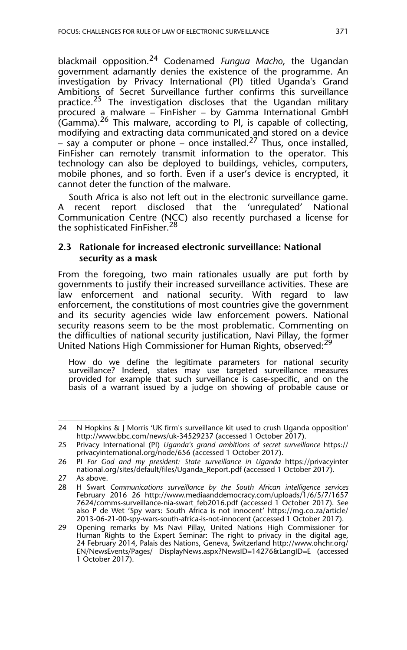blackmail opposition.24 Codenamed *Fungua Macho*, the Ugandan government adamantly denies the existence of the programme. An investigation by Privacy International (PI) titled Uganda's Grand Ambitions of Secret Surveillance further confirms this surveillance practice.<sup>25</sup> The investigation discloses that the Ugandan military procured a malware – FinFisher – by Gamma International GmbH (Gamma). $^{26}$  This malware, according to PI, is capable of collecting, modifying and extracting data communicated and stored on a device – say a computer or phone – once installed.<sup>27</sup> Thus, once installed, FinFisher can remotely transmit information to the operator. This technology can also be deployed to buildings, vehicles, computers, mobile phones, and so forth. Even if a user's device is encrypted, it cannot deter the function of the malware.

South Africa is also not left out in the electronic surveillance game. recent report disclosed that the 'unregulated' National Communication Centre (NCC) also recently purchased a license for the sophisticated FinFisher.<sup>28</sup>

#### **2.3 Rationale for increased electronic surveillance: National security as a mask**

From the foregoing, two main rationales usually are put forth by governments to justify their increased surveillance activities. These are law enforcement and national security. With regard to law enforcement, the constitutions of most countries give the government and its security agencies wide law enforcement powers. National security reasons seem to be the most problematic. Commenting on the difficulties of national security justification, Navi Pillay, the former United Nations High Commissioner for Human Rights, observed:<sup>29</sup>

How do we define the legitimate parameters for national security surveillance? Indeed, states may use targeted surveillance measures provided for example that such surveillance is case-specific, and on the basis of a warrant issued by a judge on showing of probable cause or

<sup>24</sup> N Hopkins & J Morris 'UK firm's surveillance kit used to crush Uganda opposition' http://www.bbc.com/news/uk-34529237 (accessed 1 October 2017).

<sup>25</sup> Privacy International (PI) *Uganda's grand ambitions of secret surveillance* https:// privacyinternational.org/node/656 (accessed 1 October 2017).

<sup>26</sup> PI *For God and my president: State surveillance in Uganda* https://privacyinter national.org/sites/default/files/Uganda\_Report.pdf (accessed 1 October 2017).

<sup>27</sup> As above.

<sup>28</sup> H Swart *Communications surveillance by the South African intelligence services* February 2016 26 http://www.mediaanddemocracy.com/uploads/1/6/5/7/1657 7624/comms-surveillance-nia-swart\_feb2016.pdf (accessed 1 October 2017). See also P de Wet 'Spy wars: South Africa is not innocent' https://mg.co.za/article/ 2013-06-21-00-spy-wars-south-africa-is-not-innocent (accessed 1 October 2017).

<sup>29</sup> Opening remarks by Ms Navi Pillay, United Nations High Commissioner for Human Rights to the Expert Seminar: The right to privacy in the digital age, 24 February 2014, Palais des Nations, Geneva, Switzerland http://www.ohchr.org/ EN/NewsEvents/Pages/ DisplayNews.aspx?NewsID=14276&LangID=E (accessed 1 October 2017).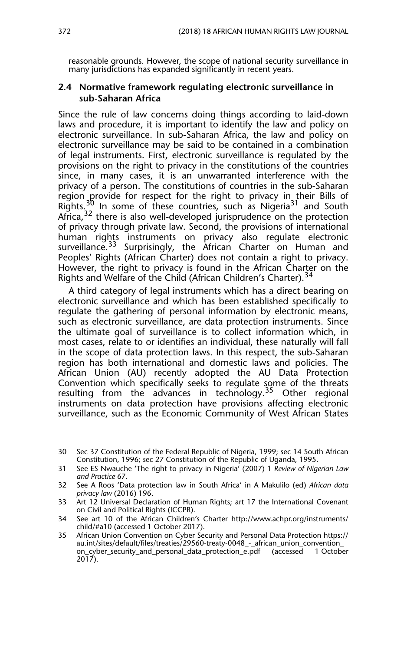reasonable grounds. However, the scope of national security surveillance in many jurisdictions has expanded significantly in recent years.

#### **2.4 Normative framework regulating electronic surveillance in sub-Saharan Africa**

Since the rule of law concerns doing things according to laid-down laws and procedure, it is important to identify the law and policy on electronic surveillance. In sub-Saharan Africa, the law and policy on electronic surveillance may be said to be contained in a combination of legal instruments. First, electronic surveillance is regulated by the provisions on the right to privacy in the constitutions of the countries since, in many cases, it is an unwarranted interference with the privacy of a person. The constitutions of countries in the sub-Saharan region provide for respect for the right to privacy in their Bills of Rights.<sup>30</sup> In some of these countries, such as Nigeria<sup>31</sup> and South Africa,<sup>32</sup> there is also well-developed jurisprudence on the protection of privacy through private law. Second, the provisions of international human rights instruments on privacy also regulate electronic surveillance.<sup>33</sup> Surprisingly, the African Charter on Human and Peoples' Rights (African Charter) does not contain a right to privacy. However, the right to privacy is found in the African Charter on the Rights and Welfare of the Child (African Children's Charter).<sup>34</sup>

A third category of legal instruments which has a direct bearing on electronic surveillance and which has been established specifically to regulate the gathering of personal information by electronic means, such as electronic surveillance, are data protection instruments. Since the ultimate goal of surveillance is to collect information which, in most cases, relate to or identifies an individual, these naturally will fall in the scope of data protection laws. In this respect, the sub-Saharan region has both international and domestic laws and policies. The African Union (AU) recently adopted the AU Data Protection Convention which specifically seeks to regulate some of the threats resulting from the advances in technology.<sup>35</sup> Other regional instruments on data protection have provisions affecting electronic surveillance, such as the Economic Community of West African States

<sup>30</sup> Sec 37 Constitution of the Federal Republic of Nigeria, 1999; sec 14 South African Constitution, 1996; sec 27 Constitution of the Republic of Uganda, 1995.

<sup>31</sup> See ES Nwauche 'The right to privacy in Nigeria' (2007) 1 *Review of Nigerian Law and Practice* 67.

<sup>32</sup> See A Roos 'Data protection law in South Africa' in A Makulilo (ed) *African data privacy law* (2016) 196.

<sup>33</sup> Art 12 Universal Declaration of Human Rights; art 17 the International Covenant on Civil and Political Rights (ICCPR).

<sup>34</sup> See art 10 of the African Children's Charter http://www.achpr.org/instruments/ child/#a10 (accessed 1 October 2017).

<sup>35</sup> African Union Convention on Cyber Security and Personal Data Protection https:// au.int/sites/default/files/treaties/29560-treaty-0048\_-\_african\_union\_convention\_<br>on\_cyber\_security\_and\_personal\_data\_protection\_e.pdf (accessed 1 October on\_cyber\_security\_and\_personal\_data\_protection\_e.pdf (accessed  $2017$ ).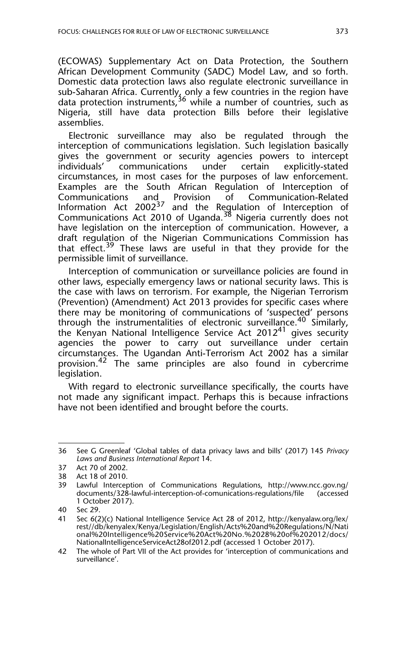(ECOWAS) Supplementary Act on Data Protection, the Southern African Development Community (SADC) Model Law, and so forth. Domestic data protection laws also regulate electronic surveillance in sub-Saharan Africa. Currently, only a few countries in the region have data protection instruments,<sup>36</sup> while a number of countries, such as Nigeria, still have data protection Bills before their legislative assemblies.

Electronic surveillance may also be regulated through the interception of communications legislation. Such legislation basically gives the government or security agencies powers to intercept individuals' communications under certain explicitly-stated circumstances, in most cases for the purposes of law enforcement. Examples are the South African Regulation of Interception of Communications and Provision of Communication-Related Information Act 2002<sup>37</sup> and the Regulation of Interception of Communications Act 2010 of Uganda.38 Nigeria currently does not have legislation on the interception of communication. However, a draft regulation of the Nigerian Communications Commission has that effect.<sup>39</sup> These laws are useful in that they provide for the permissible limit of surveillance.

Interception of communication or surveillance policies are found in other laws, especially emergency laws or national security laws. This is the case with laws on terrorism. For example, the Nigerian Terrorism (Prevention) (Amendment) Act 2013 provides for specific cases where there may be monitoring of communications of 'suspected' persons through the instrumentalities of electronic surveillance.<sup>40</sup> Similarly, the Kenyan National Intelligence Service Act 2012<sup>41</sup> gives security agencies the power to carry out surveillance under certain circumstances. The Ugandan Anti-Terrorism Act 2002 has a similar provision.<sup>42</sup> The same principles are also found in cybercrime legislation.

With regard to electronic surveillance specifically, the courts have not made any significant impact. Perhaps this is because infractions have not been identified and brought before the courts.

<sup>36</sup> See G Greenleaf 'Global tables of data privacy laws and bills' (2017) 145 *Privacy Laws and Business International Report* 14.

<sup>37</sup> Act 70 of 2002.

<sup>38</sup> Act 18 of 2010.

<sup>39</sup> Lawful Interception of Communications Regulations, http://www.ncc.gov.ng/ documents/328-lawful-interception-of-comunications-regulations/file (accessed 1 October 2017).

<sup>40</sup> Sec 29.

<sup>41</sup> Sec 6(2)(c) National Intelligence Service Act 28 of 2012, http://kenyalaw.org/lex/ rest//db/kenyalex/Kenya/Legislation/English/Acts%20and%20Regulations/N/Nati onal%20Intelligence%20Service%20Act%20No.%2028%20of%202012/docs/ NationalIntelligenceServiceAct28of2012.pdf (accessed 1 October 2017).

<sup>42</sup> The whole of Part VII of the Act provides for 'interception of communications and surveillance'.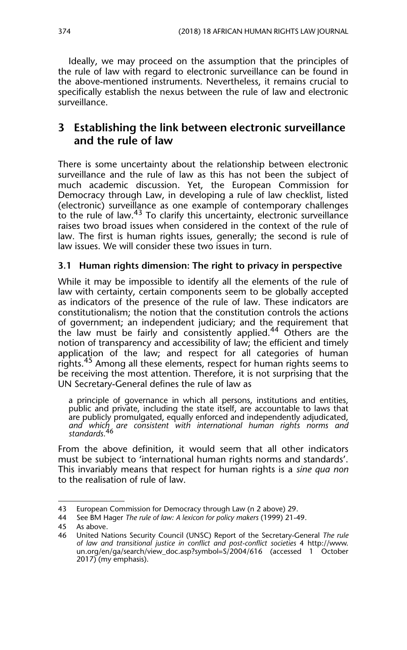Ideally, we may proceed on the assumption that the principles of the rule of law with regard to electronic surveillance can be found in the above-mentioned instruments. Nevertheless, it remains crucial to specifically establish the nexus between the rule of law and electronic surveillance.

### **3 Establishing the link between electronic surveillance and the rule of law**

There is some uncertainty about the relationship between electronic surveillance and the rule of law as this has not been the subject of much academic discussion. Yet, the European Commission for Democracy through Law, in developing a rule of law checklist, listed (electronic) surveillance as one example of contemporary challenges to the rule of law.<sup>43</sup> To clarify this uncertainty, electronic surveillance raises two broad issues when considered in the context of the rule of law. The first is human rights issues, generally; the second is rule of law issues. We will consider these two issues in turn.

#### **3.1 Human rights dimension: The right to privacy in perspective**

While it may be impossible to identify all the elements of the rule of law with certainty, certain components seem to be globally accepted as indicators of the presence of the rule of law. These indicators are constitutionalism; the notion that the constitution controls the actions of government; an independent judiciary; and the requirement that the law must be fairly and consistently applied.<sup>44</sup> Others are the notion of transparency and accessibility of law; the efficient and timely application of the law; and respect for all categories of human rights.<sup>45</sup> Among all these elements, respect for human rights seems to be receiving the most attention. Therefore, it is not surprising that the UN Secretary-General defines the rule of law as

a principle of governance in which all persons, institutions and entities, public and private, including the state itself, are accountable to laws that are publicly promulgated, equally enforced and independently adjudicated, *and which are consistent with international human rights norms and standards.*<sup>46</sup>

From the above definition, it would seem that all other indicators must be subject to 'international human rights norms and standards'. This invariably means that respect for human rights is a *sine qua non* to the realisation of rule of law.

<sup>43</sup> European Commission for Democracy through Law (n 2 above) 29.<br>44 See BM Hager The rule of law: A lexicon for policy makers (1999) 21-4

<sup>44</sup> See BM Hager *The rule of law: A lexicon for policy makers* (1999) 21-49.

<sup>45</sup> As above.

<sup>46</sup> United Nations Security Council (UNSC) Report of the Secretary-General *The rule of law and transitional justice in conflict and post-conflict societies* 4 http://www. un.org/en/ga/search/view\_doc.asp?symbol=S/2004/616 (accessed 1 October 2017) (my emphasis).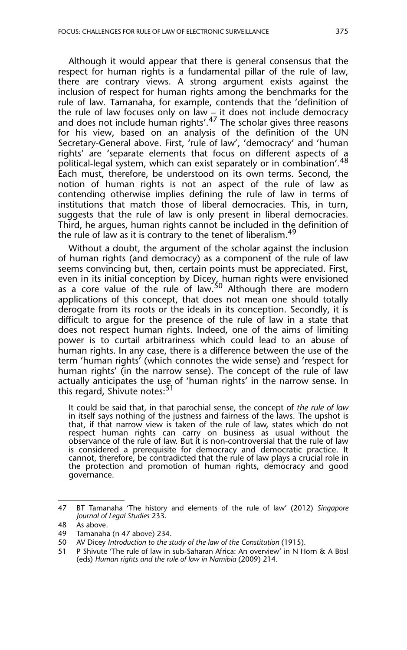Although it would appear that there is general consensus that the respect for human rights is a fundamental pillar of the rule of law, there are contrary views. A strong argument exists against the inclusion of respect for human rights among the benchmarks for the rule of law. Tamanaha, for example, contends that the 'definition of the rule of law focuses only on law – it does not include democracy and does not include human rights'.<sup>47</sup> The scholar gives three reasons for his view, based on an analysis of the definition of the UN Secretary-General above. First, 'rule of law', 'democracy' and 'human rights' are 'separate elements that focus on different aspects of a political-legal system, which can exist separately or in combination'.<sup>48</sup> Each must, therefore, be understood on its own terms. Second, the notion of human rights is not an aspect of the rule of law as contending otherwise implies defining the rule of law in terms of institutions that match those of liberal democracies. This, in turn, suggests that the rule of law is only present in liberal democracies. Third, he argues, human rights cannot be included in the definition of the rule of law as it is contrary to the tenet of liberalism.<sup>49</sup>

Without a doubt, the argument of the scholar against the inclusion of human rights (and democracy) as a component of the rule of law seems convincing but, then, certain points must be appreciated. First, even in its initial conception by Dicey, human rights were envisioned as a core value of the rule of law.<sup>50</sup> Although there are modern applications of this concept, that does not mean one should totally derogate from its roots or the ideals in its conception. Secondly, it is difficult to argue for the presence of the rule of law in a state that does not respect human rights. Indeed, one of the aims of limiting power is to curtail arbitrariness which could lead to an abuse of human rights. In any case, there is a difference between the use of the term 'human rights' (which connotes the wide sense) and 'respect for human rights' (in the narrow sense). The concept of the rule of law actually anticipates the use of 'human rights' in the narrow sense. In this regard, Shivute notes:<sup>51</sup>

It could be said that, in that parochial sense, the concept of *the rule of law* in itself says nothing of the justness and fairness of the laws. The upshot is that, if that narrow view is taken of the rule of law, states which do not respect human rights can carry on business as usual without the observance of the rule of law. But it is non-controversial that the rule of law is considered a prerequisite for democracy and democratic practice. It cannot, therefore, be contradicted that the rule of law plays a crucial role in the protection and promotion of human rights, democracy and good governance.

<sup>47</sup> BT Tamanaha 'The history and elements of the rule of law' (2012) *Singapore Journal of Legal Studies* 233.

<sup>48</sup> As above.

<sup>49</sup> Tamanaha (n 47 above) 234.

<sup>50</sup> AV Dicey *Introduction to the study of the law of the Constitution* (1915).

<sup>51</sup> P Shivute 'The rule of law in sub-Saharan Africa: An overview' in N Horn & A Bösl (eds) *Human rights and the rule of law in Namibia* (2009) 214.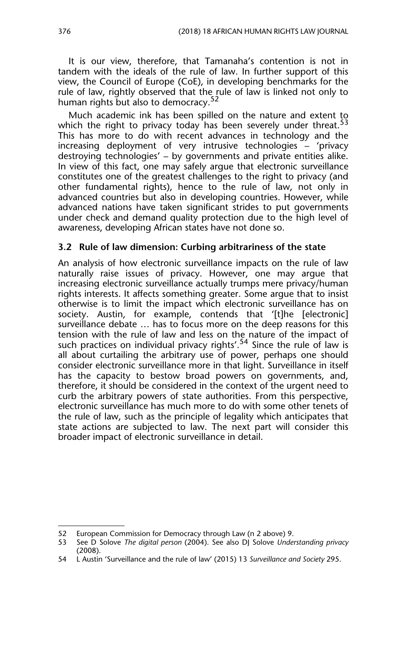It is our view, therefore, that Tamanaha's contention is not in tandem with the ideals of the rule of law. In further support of this view, the Council of Europe (CoE), in developing benchmarks for the rule of law, rightly observed that the rule of law is linked not only to human rights but also to democracy.<sup>52</sup>

Much academic ink has been spilled on the nature and extent to which the right to privacy today has been severely under threat.<sup>53</sup> This has more to do with recent advances in technology and the increasing deployment of very intrusive technologies – 'privacy destroying technologies' – by governments and private entities alike. In view of this fact, one may safely argue that electronic surveillance constitutes one of the greatest challenges to the right to privacy (and other fundamental rights), hence to the rule of law, not only in advanced countries but also in developing countries. However, while advanced nations have taken significant strides to put governments under check and demand quality protection due to the high level of awareness, developing African states have not done so.

#### **3.2 Rule of law dimension: Curbing arbitrariness of the state**

An analysis of how electronic surveillance impacts on the rule of law naturally raise issues of privacy. However, one may argue that increasing electronic surveillance actually trumps mere privacy/human rights interests. It affects something greater. Some argue that to insist otherwise is to limit the impact which electronic surveillance has on society. Austin, for example, contends that '[t]he [electronic] surveillance debate … has to focus more on the deep reasons for this tension with the rule of law and less on the nature of the impact of such practices on individual privacy rights'.<sup>54</sup> Since the rule of law is all about curtailing the arbitrary use of power, perhaps one should consider electronic surveillance more in that light. Surveillance in itself has the capacity to bestow broad powers on governments, and, therefore, it should be considered in the context of the urgent need to curb the arbitrary powers of state authorities. From this perspective, electronic surveillance has much more to do with some other tenets of the rule of law, such as the principle of legality which anticipates that state actions are subjected to law. The next part will consider this broader impact of electronic surveillance in detail.

<sup>52</sup> European Commission for Democracy through Law (n 2 above) 9.

<sup>53</sup> See D Solove *The digital person* (2004). See also DJ Solove *Understanding privacy* (2008).

<sup>54</sup> L Austin 'Surveillance and the rule of law' (2015) 13 *Surveillance and Society* 295.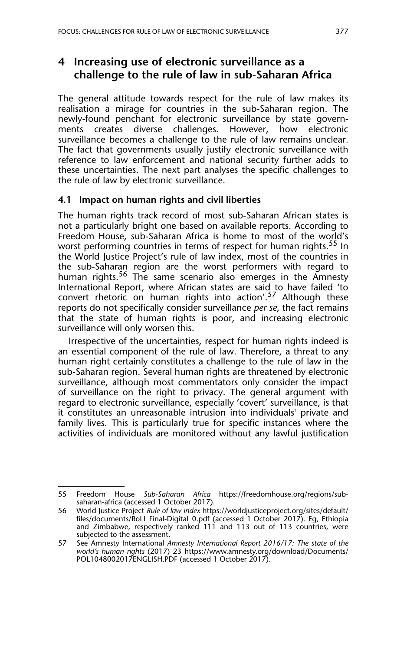## **4 Increasing use of electronic surveillance as a challenge to the rule of law in sub-Saharan Africa**

The general attitude towards respect for the rule of law makes its realisation a mirage for countries in the sub-Saharan region. The newly-found penchant for electronic surveillance by state governments creates diverse challenges. However, how electronic surveillance becomes a challenge to the rule of law remains unclear. The fact that governments usually justify electronic surveillance with reference to law enforcement and national security further adds to these uncertainties. The next part analyses the specific challenges to the rule of law by electronic surveillance.

#### **4.1 Impact on human rights and civil liberties**

The human rights track record of most sub-Saharan African states is not a particularly bright one based on available reports. According to Freedom House, sub-Saharan Africa is home to most of the world's worst performing countries in terms of respect for human rights.<sup>55</sup> In the World Justice Project's rule of law index, most of the countries in the sub-Saharan region are the worst performers with regard to human rights.<sup>56</sup> The same scenario also emerges in the Amnesty International Report, where African states are said to have failed 'to convert rhetoric on human rights into action'.<sup>57</sup> Although these reports do not specifically consider surveillance *per se*, the fact remains that the state of human rights is poor, and increasing electronic surveillance will only worsen this.

Irrespective of the uncertainties, respect for human rights indeed is an essential component of the rule of law. Therefore, a threat to any human right certainly constitutes a challenge to the rule of law in the sub-Saharan region. Several human rights are threatened by electronic surveillance, although most commentators only consider the impact of surveillance on the right to privacy. The general argument with regard to electronic surveillance, especially 'covert' surveillance, is that it constitutes an unreasonable intrusion into individuals' private and family lives. This is particularly true for specific instances where the activities of individuals are monitored without any lawful justification

<sup>55</sup> Freedom House *Sub-Saharan Africa* https://freedomhouse.org/regions/subsaharan-africa (accessed 1 October 2017).

<sup>56</sup> World Justice Project *Rule of law index* https://worldjusticeproject.org/sites/default/ files/documents/RoLI\_Final-Digital\_0.pdf (accessed 1 October 2017). Eg, Ethiopia and Zimbabwe, respectively ranked 111 and 113 out of 113 countries, were subjected to the assessment.

<sup>57</sup> See Amnesty International *Amnesty International Report 2016/17: The state of the world's human rights* (2017) 23 https://www.amnesty.org/download/Documents/ POL1048002017ENGLISH.PDF (accessed 1 October 2017).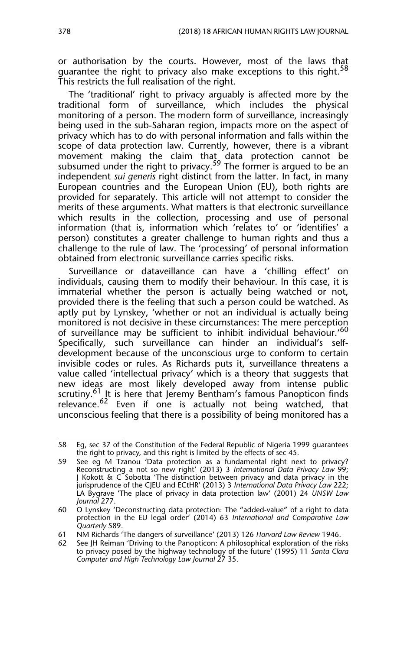or authorisation by the courts. However, most of the laws that guarantee the right to privacy also make exceptions to this right.<sup>58</sup> This restricts the full realisation of the right.

The 'traditional' right to privacy arguably is affected more by the traditional form of surveillance, which includes the physical monitoring of a person. The modern form of surveillance, increasingly being used in the sub-Saharan region, impacts more on the aspect of privacy which has to do with personal information and falls within the scope of data protection law. Currently, however, there is a vibrant movement making the claim that data protection cannot be subsumed under the right to privacy.<sup>59</sup> The former is argued to be an independent *sui generis* right distinct from the latter. In fact, in many European countries and the European Union (EU), both rights are provided for separately. This article will not attempt to consider the merits of these arguments. What matters is that electronic surveillance which results in the collection, processing and use of personal information (that is, information which 'relates to' or 'identifies' a person) constitutes a greater challenge to human rights and thus a challenge to the rule of law. The 'processing' of personal information obtained from electronic surveillance carries specific risks.

Surveillance or dataveillance can have a 'chilling effect' on individuals, causing them to modify their behaviour. In this case, it is immaterial whether the person is actually being watched or not, provided there is the feeling that such a person could be watched. As aptly put by Lynskey, 'whether or not an individual is actually being monitored is not decisive in these circumstances: The mere perception of surveillance may be sufficient to inhibit individual behaviour.'60 Specifically, such surveillance can hinder an individual's selfdevelopment because of the unconscious urge to conform to certain invisible codes or rules. As Richards puts it, surveillance threatens a value called 'intellectual privacy' which is a theory that suggests that new ideas are most likely developed away from intense public scrutiny.<sup>61</sup> It is here that Jeremy Bentham's famous Panopticon finds relevance.<sup>62</sup> Even if one is actually not being watched, that unconscious feeling that there is a possibility of being monitored has a

<sup>58</sup> Eg, sec 37 of the Constitution of the Federal Republic of Nigeria 1999 guarantees the right to privacy, and this right is limited by the effects of sec 45.

<sup>59</sup> See eg M Tzanou 'Data protection as a fundamental right next to privacy? Reconstructing a not so new right' (2013) 3 *International Data Privacy Law* 99; J Kokott & C Sobotta 'The distinction between privacy and data privacy in the jurisprudence of the CJEU and ECtHR' (2013) 3 *International Data Privacy Law* 222; LA Bygrave 'The place of privacy in data protection law' (2001) 24 *UNSW Law Journal* 277.

<sup>60</sup> O Lynskey 'Deconstructing data protection: The "added-value" of a right to data protection in the EU legal order' (2014) 63 *International and Comparative Law Quarterly* 589.

<sup>61</sup> NM Richards 'The dangers of surveillance' (2013) 126 *Harvard Law Review* 1946.

<sup>62</sup> See JH Reiman 'Driving to the Panopticon: A philosophical exploration of the risks to privacy posed by the highway technology of the future' (1995) 11 *Santa Clara Computer and High Technology Law Journal* 27 35.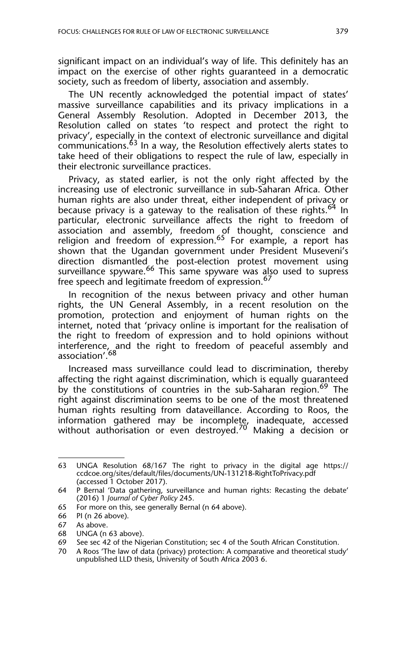significant impact on an individual's way of life. This definitely has an impact on the exercise of other rights guaranteed in a democratic society, such as freedom of liberty, association and assembly.

The UN recently acknowledged the potential impact of states' massive surveillance capabilities and its privacy implications in a General Assembly Resolution. Adopted in December 2013, the Resolution called on states 'to respect and protect the right to privacy', especially in the context of electronic surveillance and digital communications.<sup>63</sup> In a way, the Resolution effectively alerts states to take heed of their obligations to respect the rule of law, especially in their electronic surveillance practices.

Privacy, as stated earlier, is not the only right affected by the increasing use of electronic surveillance in sub-Saharan Africa. Other human rights are also under threat, either independent of privacy or because privacy is a gateway to the realisation of these rights.<sup>64</sup> In particular, electronic surveillance affects the right to freedom of association and assembly, freedom of thought, conscience and religion and freedom of expression.<sup>65</sup> For example, a report has shown that the Ugandan government under President Museveni's direction dismantled the post-election protest movement using surveillance spyware.<sup>66</sup> This same spyware was also used to supress free speech and legitimate freedom of expression.<sup>67</sup>

In recognition of the nexus between privacy and other human rights, the UN General Assembly, in a recent resolution on the promotion, protection and enjoyment of human rights on the internet, noted that 'privacy online is important for the realisation of the right to freedom of expression and to hold opinions without interference, and the right to freedom of peaceful assembly and association'.<sup>68</sup>

Increased mass surveillance could lead to discrimination, thereby affecting the right against discrimination, which is equally guaranteed by the constitutions of countries in the sub-Saharan region.<sup>69</sup> The right against discrimination seems to be one of the most threatened human rights resulting from dataveillance. According to Roos, the information gathered may be incomple<u>te,</u> inadequate, accessed without authorisation or even destroyed.<sup>70</sup> Making a decision or

<sup>63</sup> UNGA Resolution 68/167 The right to privacy in the digital age https:// ccdcoe.org/sites/default/files/documents/UN-131218-RightToPrivacy.pdf (accessed 1 October 2017).

<sup>64</sup> P Bernal 'Data gathering, surveillance and human rights: Recasting the debate' (2016) 1 *Journal of Cyber Policy* 245.

<sup>65</sup> For more on this, see generally Bernal (n 64 above).

<sup>66</sup> PI (n 26 above).<br>67 As above.

As above.

<sup>68</sup> UNGA (n 63 above).

<sup>69</sup> See sec 42 of the Nigerian Constitution; sec 4 of the South African Constitution.<br>70 A Roos 'The law of data (privacy) protection: A comparative and theoretical stud

A Roos 'The law of data (privacy) protection: A comparative and theoretical study' unpublished LLD thesis, University of South Africa 2003 6.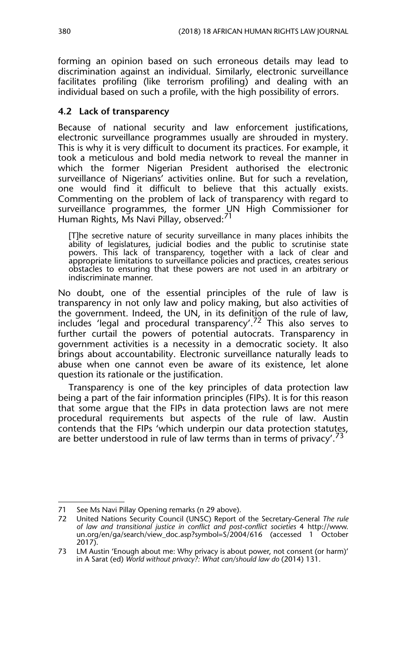forming an opinion based on such erroneous details may lead to discrimination against an individual. Similarly, electronic surveillance facilitates profiling (like terrorism profiling) and dealing with an individual based on such a profile, with the high possibility of errors.

#### **4.2 Lack of transparency**

Because of national security and law enforcement justifications, electronic surveillance programmes usually are shrouded in mystery. This is why it is very difficult to document its practices. For example, it took a meticulous and bold media network to reveal the manner in which the former Nigerian President authorised the electronic surveillance of Nigerians' activities online. But for such a revelation, one would find it difficult to believe that this actually exists. Commenting on the problem of lack of transparency with regard to surveillance programmes, the former UN High Commissioner for Human Rights, Ms Navi Pillay, observed: $\frac{71}{1}$ 

[T]he secretive nature of security surveillance in many places inhibits the ability of legislatures, judicial bodies and the public to scrutinise state powers. This lack of transparency, together with a lack of clear and appropriate limitations to surveillance policies and practices, creates serious obstacles to ensuring that these powers are not used in an arbitrary or indiscriminate manner.

No doubt, one of the essential principles of the rule of law is transparency in not only law and policy making, but also activities of the government. Indeed, the UN, in its definition of the rule of law, includes 'legal and procedural transparency'.72 This also serves to further curtail the powers of potential autocrats. Transparency in government activities is a necessity in a democratic society. It also brings about accountability. Electronic surveillance naturally leads to abuse when one cannot even be aware of its existence, let alone question its rationale or the justification.

Transparency is one of the key principles of data protection law being a part of the fair information principles (FIPs). It is for this reason that some argue that the FIPs in data protection laws are not mere procedural requirements but aspects of the rule of law. Austin contends that the FIPs 'which underpin our data protection statutes, are better understood in rule of law terms than in terms of privacy'.<sup>73</sup>

<sup>71</sup> See Ms Navi Pillay Opening remarks (n 29 above).

<sup>72</sup> United Nations Security Council (UNSC) Report of the Secretary-General *The rule of law and transitional justice in conflict and post-conflict societies* 4 http://www. un.org/en/ga/search/view\_doc.asp?symbol=S/2004/616 (accessed 1 October 2017).

<sup>73</sup> LM Austin 'Enough about me: Why privacy is about power, not consent (or harm)' in A Sarat (ed) *World without privacy?: What can/should law do* (2014) 131.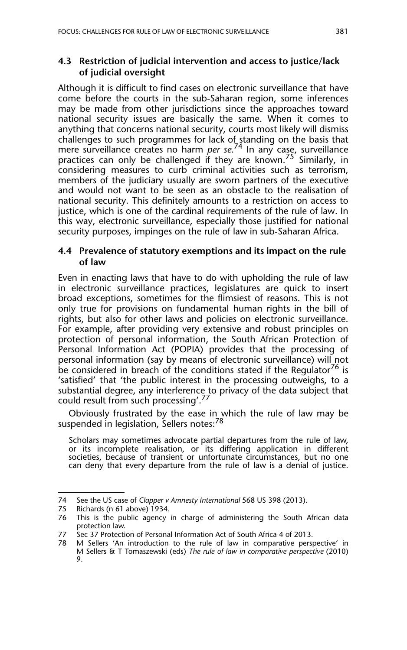#### **4.3 Restriction of judicial intervention and access to justice/lack of judicial oversight**

Although it is difficult to find cases on electronic surveillance that have come before the courts in the sub-Saharan region, some inferences may be made from other jurisdictions since the approaches toward national security issues are basically the same. When it comes to anything that concerns national security, courts most likely will dismiss challenges to such programmes for lack of standing on the basis that mere surveillance creates no harm *per se*. 74 In any case, surveillance practices can only be challenged if they are known.<sup>75'</sup> Similarly, in considering measures to curb criminal activities such as terrorism, members of the judiciary usually are sworn partners of the executive and would not want to be seen as an obstacle to the realisation of national security. This definitely amounts to a restriction on access to justice, which is one of the cardinal requirements of the rule of law. In this way, electronic surveillance, especially those justified for national security purposes, impinges on the rule of law in sub-Saharan Africa.

#### **4.4 Prevalence of statutory exemptions and its impact on the rule of law**

Even in enacting laws that have to do with upholding the rule of law in electronic surveillance practices, legislatures are quick to insert broad exceptions, sometimes for the flimsiest of reasons. This is not only true for provisions on fundamental human rights in the bill of rights, but also for other laws and policies on electronic surveillance. For example, after providing very extensive and robust principles on protection of personal information, the South African Protection of Personal Information Act (POPIA) provides that the processing of personal information (say by means of electronic surveillance) will not be considered in breach of the conditions stated if the Regulator<sup>76</sup> is 'satisfied' that 'the public interest in the processing outweighs, to a substantial degree, any interference to privacy of the data subject that could result from such processing'.<sup>77</sup>

Obviously frustrated by the ease in which the rule of law may be suspended in legislation, Sellers notes:<sup>78</sup>

Scholars may sometimes advocate partial departures from the rule of law, or its incomplete realisation, or its differing application in different societies, because of transient or unfortunate circumstances, but no one can deny that every departure from the rule of law is a denial of justice.

<sup>74</sup> See the US case of *Clapper v Amnesty International* 568 US 398 (2013).

<sup>75</sup> Richards (n 61 above) 1934.

<sup>76</sup> This is the public agency in charge of administering the South African data protection law.

<sup>77</sup> Sec 37 Protection of Personal Information Act of South Africa 4 of 2013.

<sup>78</sup> M Sellers 'An introduction to the rule of law in comparative perspective' in M Sellers & T Tomaszewski (eds) *The rule of law in comparative perspective* (2010) 9.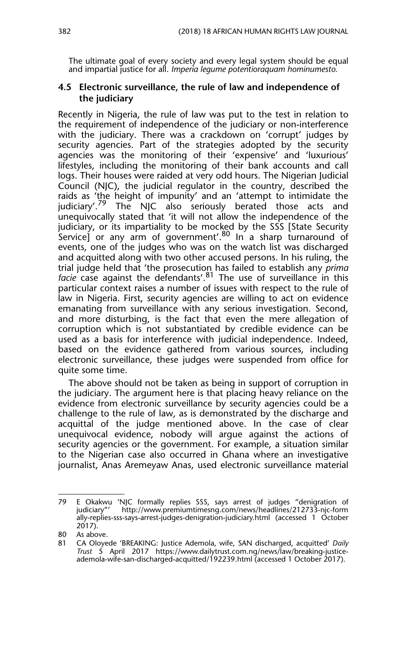The ultimate goal of every society and every legal system should be equal and impartial justice for all. *Imperia legume potentioraquam hominumesto.*

#### **4.5 Electronic surveillance, the rule of law and independence of the judiciary**

Recently in Nigeria, the rule of law was put to the test in relation to the requirement of independence of the judiciary or non-interference with the judiciary. There was a crackdown on 'corrupt' judges by security agencies. Part of the strategies adopted by the security agencies was the monitoring of their 'expensive' and 'luxurious' lifestyles, including the monitoring of their bank accounts and call logs. Their houses were raided at very odd hours. The Nigerian Judicial Council (NJC), the judicial regulator in the country, described the raids as 'the height of impunity' and an 'attempt to intimidate the judiciary'.<sup>79</sup> The NJC also seriously berated those acts and The NJC also seriously berated those acts and unequivocally stated that 'it will not allow the independence of the judiciary, or its impartiality to be mocked by the SSS [State Security Service) or any arm of government'.<sup>80</sup> In a sharp turnaround of events, one of the judges who was on the watch list was discharged and acquitted along with two other accused persons. In his ruling, the trial judge held that 'the prosecution has failed to establish any *prima facie* case against the defendants'.<sup>81</sup> The use of surveillance in this particular context raises a number of issues with respect to the rule of law in Nigeria. First, security agencies are willing to act on evidence emanating from surveillance with any serious investigation. Second, and more disturbing, is the fact that even the mere allegation of corruption which is not substantiated by credible evidence can be used as a basis for interference with judicial independence. Indeed, based on the evidence gathered from various sources, including electronic surveillance, these judges were suspended from office for quite some time.

The above should not be taken as being in support of corruption in the judiciary. The argument here is that placing heavy reliance on the evidence from electronic surveillance by security agencies could be a challenge to the rule of law, as is demonstrated by the discharge and acquittal of the judge mentioned above. In the case of clear unequivocal evidence, nobody will argue against the actions of security agencies or the government. For example, a situation similar to the Nigerian case also occurred in Ghana where an investigative journalist, Anas Aremeyaw Anas, used electronic surveillance material

<sup>79</sup> E Okakwu 'NJC formally replies SSS, says arrest of judges "denigration of judiciary"' http://www.premiumtimesng.com/news/headlines/212733-njc-form ally-replies-sss-says-arrest-judges-denigration-judiciary.html (accessed 1 October 2017).

<sup>80</sup> As above.

<sup>81</sup> CA Oloyede 'BREAKING: Justice Ademola, wife, SAN discharged, acquitted' *Daily Trust* 5 April 2017 https://www.dailytrust.com.ng/news/law/breaking-justiceademola-wife-san-discharged-acquitted/192239.html (accessed 1 October 2017).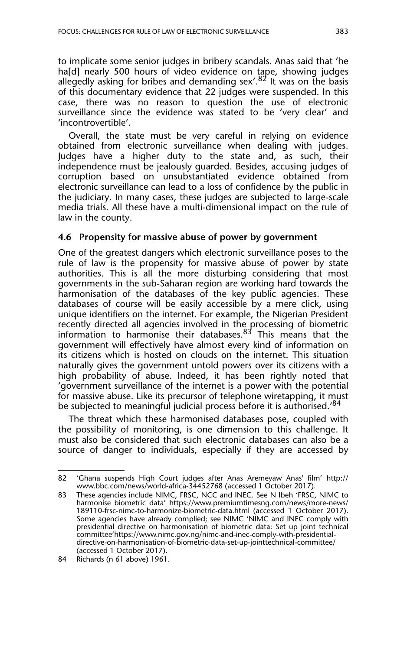to implicate some senior judges in bribery scandals. Anas said that 'he ha<sup>[d]</sup> nearly 500 hours of video evidence on tape, showing judges allegedly asking for bribes and demanding sex'.  $82$  It was on the basis of this documentary evidence that 22 judges were suspended. In this case, there was no reason to question the use of electronic surveillance since the evidence was stated to be 'very clear' and 'incontrovertible'.

Overall, the state must be very careful in relying on evidence obtained from electronic surveillance when dealing with judges. Judges have a higher duty to the state and, as such, their independence must be jealously guarded. Besides, accusing judges of corruption based on unsubstantiated evidence obtained from electronic surveillance can lead to a loss of confidence by the public in the judiciary. In many cases, these judges are subjected to large-scale media trials. All these have a multi-dimensional impact on the rule of law in the county.

#### **4.6 Propensity for massive abuse of power by government**

One of the greatest dangers which electronic surveillance poses to the rule of law is the propensity for massive abuse of power by state authorities. This is all the more disturbing considering that most governments in the sub-Saharan region are working hard towards the harmonisation of the databases of the key public agencies. These databases of course will be easily accessible by a mere click, using unique identifiers on the internet. For example, the Nigerian President recently directed all agencies involved in the processing of biometric information to harmonise their databases.<sup>83</sup> This means that the government will effectively have almost every kind of information on its citizens which is hosted on clouds on the internet. This situation naturally gives the government untold powers over its citizens with a high probability of abuse. Indeed, it has been rightly noted that 'government surveillance of the internet is a power with the potential for massive abuse. Like its precursor of telephone wiretapping, it must be subjected to meaningful judicial process before it is authorised.<sup>84</sup>

The threat which these harmonised databases pose, coupled with the possibility of monitoring, is one dimension to this challenge. It must also be considered that such electronic databases can also be a source of danger to individuals, especially if they are accessed by

<sup>82 &#</sup>x27;Ghana suspends High Court judges after Anas Aremeyaw Anas' film' http:// www.bbc.com/news/world-africa-34452768 (accessed 1 October 2017).

<sup>83</sup> These agencies include NIMC, FRSC, NCC and INEC. See N Ibeh 'FRSC, NIMC to harmonise biometric data' https://www.premiumtimesng.com/news/more-news/ 189110-frsc-nimc-to-harmonize-biometric-data.html (accessed 1 October 2017). Some agencies have already complied; see NIMC 'NIMC and INEC comply with presidential directive on harmonisation of biometric data: Set up joint technical committee'https://www.nimc.gov.ng/nimc-and-inec-comply-with-presidentialdirective-on-harmonisation-of-biometric-data-set-up-jointtechnical-committee/ (accessed 1 October 2017).

<sup>84</sup> Richards (n 61 above) 1961.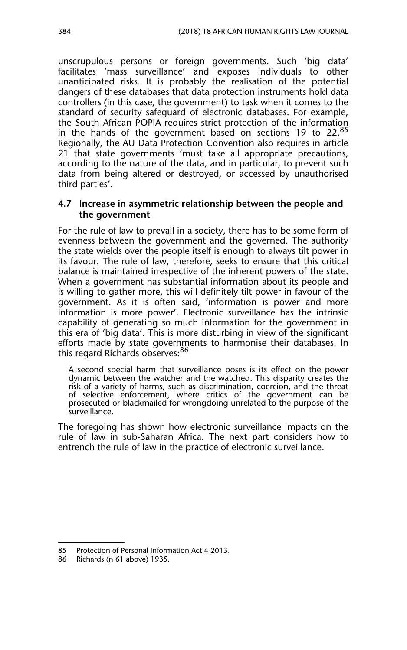unscrupulous persons or foreign governments. Such 'big data' facilitates 'mass surveillance' and exposes individuals to other unanticipated risks. It is probably the realisation of the potential dangers of these databases that data protection instruments hold data controllers (in this case, the government) to task when it comes to the standard of security safeguard of electronic databases. For example, the South African POPIA requires strict protection of the information in the hands of the government based on sections 19 to 22.85 Regionally, the AU Data Protection Convention also requires in article 21 that state governments 'must take all appropriate precautions, according to the nature of the data, and in particular, to prevent such data from being altered or destroyed, or accessed by unauthorised third parties'.

#### **4.7 Increase in asymmetric relationship between the people and the government**

For the rule of law to prevail in a society, there has to be some form of evenness between the government and the governed. The authority the state wields over the people itself is enough to always tilt power in its favour. The rule of law, therefore, seeks to ensure that this critical balance is maintained irrespective of the inherent powers of the state. When a government has substantial information about its people and is willing to gather more, this will definitely tilt power in favour of the government. As it is often said, 'information is power and more information is more power'. Electronic surveillance has the intrinsic capability of generating so much information for the government in this era of 'big data'. This is more disturbing in view of the significant efforts made by state governments to harmonise their databases. In this regard Richards observes:<sup>86</sup>

A second special harm that surveillance poses is its effect on the power dynamic between the watcher and the watched. This disparity creates the risk of a variety of harms, such as discrimination, coercion, and the threat of selective enforcement, where critics of the government can be prosecuted or blackmailed for wrongdoing unrelated to the purpose of the surveillance.

The foregoing has shown how electronic surveillance impacts on the rule of law in sub-Saharan Africa. The next part considers how to entrench the rule of law in the practice of electronic surveillance.

<sup>85</sup> Protection of Personal Information Act 4 2013.

<sup>86</sup> Richards (n 61 above) 1935.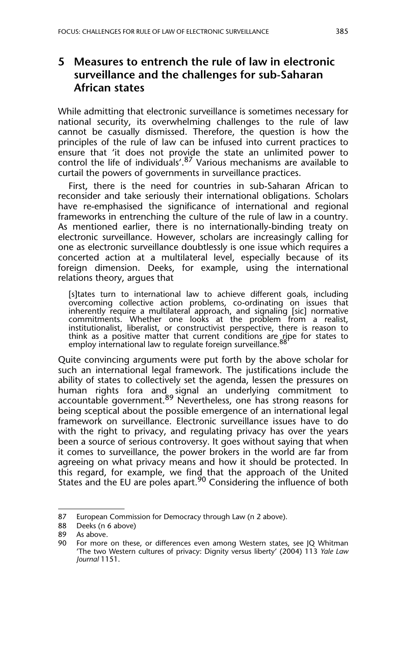# **5 Measures to entrench the rule of law in electronic surveillance and the challenges for sub-Saharan African states**

While admitting that electronic surveillance is sometimes necessary for national security, its overwhelming challenges to the rule of law cannot be casually dismissed. Therefore, the question is how the principles of the rule of law can be infused into current practices to ensure that 'it does not provide the state an unlimited power to control the life of individuals'.<sup>87</sup> Various mechanisms are available to curtail the powers of governments in surveillance practices.

First, there is the need for countries in sub-Saharan African to reconsider and take seriously their international obligations. Scholars have re-emphasised the significance of international and regional frameworks in entrenching the culture of the rule of law in a country. As mentioned earlier, there is no internationally-binding treaty on electronic surveillance. However, scholars are increasingly calling for one as electronic surveillance doubtlessly is one issue which requires a concerted action at a multilateral level, especially because of its foreign dimension. Deeks, for example, using the international relations theory, argues that

[s]tates turn to international law to achieve different goals, including overcoming collective action problems, co-ordinating on issues that inherently require a multilateral approach, and signaling [sic] normative commitments. Whether one looks at the problem from a realist, institutionalist, liberalist, or constructivist perspective, there is reason to think as a positive matter that current conditions are ripe for states to<br>employ international law to regulate foreign surveillance.<sup>88</sup>

Quite convincing arguments were put forth by the above scholar for such an international legal framework. The justifications include the ability of states to collectively set the agenda, lessen the pressures on human rights fora and signal an underlying commitment to accountable government.<sup>89</sup> Nevertheless, one has strong reasons for being sceptical about the possible emergence of an international legal framework on surveillance. Electronic surveillance issues have to do with the right to privacy, and regulating privacy has over the years been a source of serious controversy. It goes without saying that when it comes to surveillance, the power brokers in the world are far from agreeing on what privacy means and how it should be protected. In this regard, for example, we find that the approach of the United States and the EU are poles apart.<sup>90</sup> Considering the influence of both

<sup>87</sup> European Commission for Democracy through Law (n 2 above).

<sup>88</sup> Deeks (n 6 above)

<sup>89</sup> As above.

<sup>90</sup> For more on these, or differences even among Western states, see JQ Whitman 'The two Western cultures of privacy: Dignity versus liberty' (2004) 113 *Yale Law Journal* 1151.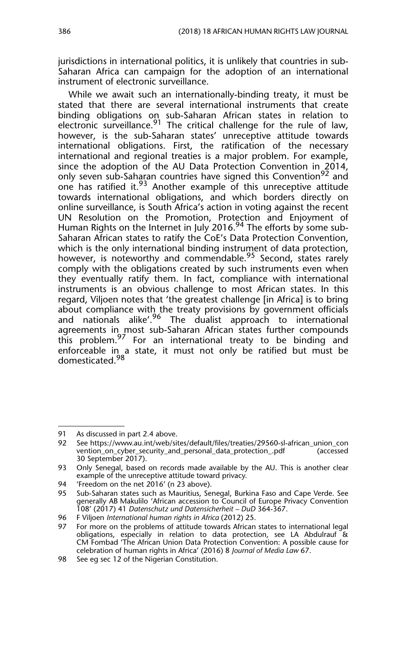jurisdictions in international politics, it is unlikely that countries in sub-Saharan Africa can campaign for the adoption of an international instrument of electronic surveillance.

While we await such an internationally-binding treaty, it must be stated that there are several international instruments that create binding obligations on sub-Saharan African states in relation to electronic surveillance.<sup>91</sup> The critical challenge for the rule of law, however, is the sub-Saharan states' unreceptive attitude towards international obligations. First, the ratification of the necessary international and regional treaties is a major problem. For example, since the adoption of the AU Data Protection Convention in 2014, only seven sub-Saharan countries have signed this Convention<sup>92</sup> and one has ratified it.<sup>93</sup> Another example of this unreceptive attitude towards international obligations, and which borders directly on online surveillance, is South Africa's action in voting against the recent UN Resolution on the Promotion, Protection and Enjoyment of Human Rights on the Internet in July 2016.<sup>94</sup> The efforts by some sub-Saharan African states to ratify the CoE's Data Protection Convention, which is the only international binding instrument of data protection, however, is noteworthy and commendable.<sup>95</sup> Second, states rarely comply with the obligations created by such instruments even when they eventually ratify them. In fact, compliance with international instruments is an obvious challenge to most African states. In this regard, Viljoen notes that 'the greatest challenge [in Africa] is to bring about compliance with the treaty provisions by government officials and nationals alike'.<sup>96</sup> The dualist approach to international agreements in most sub-Saharan African states further compounds this problem.<sup>97</sup> For an international treaty to be binding and enforceable in a state, it must not only be ratified but must be domesticated.<sup>98</sup>

<sup>91</sup> As discussed in part 2.4 above.

<sup>92</sup> See https://www.au.int/web/sites/default/files/treaties/29560-sl-african\_union\_con vention\_on\_cyber\_security\_and\_personal\_data\_protection\_.pdf 30 September 2017).

<sup>93</sup> Only Senegal, based on records made available by the AU. This is another clear example of the unreceptive attitude toward privacy.

<sup>94 &#</sup>x27;Freedom on the net 2016' (n 23 above).

<sup>95</sup> Sub-Saharan states such as Mauritius, Senegal, Burkina Faso and Cape Verde. See generally AB Makulilo 'African accession to Council of Europe Privacy Convention 108' (2017) 41 *Datenschutz und Datensicherheit – DuD* 364-367.

<sup>96</sup> F Viljoen *International human rights in Africa* (2012) 25.

<sup>97</sup> For more on the problems of attitude towards African states to international legal obligations, especially in relation to data protection, see LA Abdulrauf & CM Fombad 'The African Union Data Protection Convention: A possible cause for celebration of human rights in Africa' (2016) 8 *Journal of Media Law* 67.

<sup>98</sup> See eg sec 12 of the Nigerian Constitution.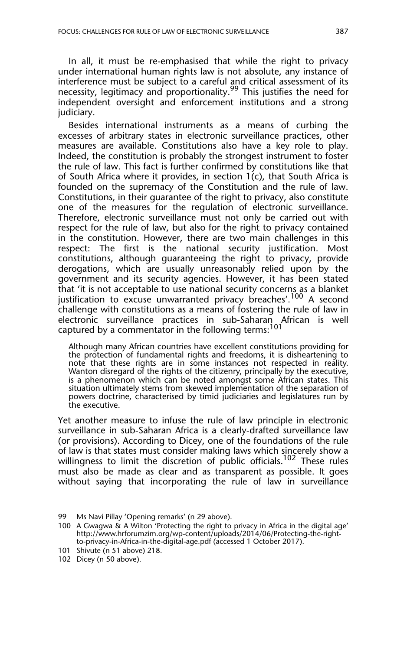In all, it must be re-emphasised that while the right to privacy under international human rights law is not absolute, any instance of interference must be subject to a careful and critical assessment of its necessity, legitimacy and proportionality.<sup>99</sup> This justifies the need for independent oversight and enforcement institutions and a strong judiciary.

Besides international instruments as a means of curbing the excesses of arbitrary states in electronic surveillance practices, other measures are available. Constitutions also have a key role to play. Indeed, the constitution is probably the strongest instrument to foster the rule of law. This fact is further confirmed by constitutions like that of South Africa where it provides, in section  $1(c)$ , that South Africa is founded on the supremacy of the Constitution and the rule of law. Constitutions, in their guarantee of the right to privacy, also constitute one of the measures for the regulation of electronic surveillance. Therefore, electronic surveillance must not only be carried out with respect for the rule of law, but also for the right to privacy contained in the constitution. However, there are two main challenges in this respect: The first is the national security justification. Most constitutions, although guaranteeing the right to privacy, provide derogations, which are usually unreasonably relied upon by the government and its security agencies. However, it has been stated that 'it is not acceptable to use national security concerns as a blanket justification to excuse unwarranted privacy breaches'.<sup>100</sup> A second challenge with constitutions as a means of fostering the rule of law in electronic surveillance practices in sub-Saharan African is well captured by a commentator in the following terms:<sup>101</sup>

Although many African countries have excellent constitutions providing for the protection of fundamental rights and freedoms, it is disheartening to note that these rights are in some instances not respected in reality. Wanton disregard of the rights of the citizenry, principally by the executive, is a phenomenon which can be noted amongst some African states. This situation ultimately stems from skewed implementation of the separation of powers doctrine, characterised by timid judiciaries and legislatures run by the executive.

Yet another measure to infuse the rule of law principle in electronic surveillance in sub-Saharan Africa is a clearly-drafted surveillance law (or provisions). According to Dicey, one of the foundations of the rule of law is that states must consider making laws which sincerely show a willingness to limit the discretion of public officials.<sup>102</sup> These rules must also be made as clear and as transparent as possible. It goes without saying that incorporating the rule of law in surveillance

<sup>99</sup> Ms Navi Pillay 'Opening remarks' (n 29 above).

<sup>100</sup> A Gwagwa & A Wilton 'Protecting the right to privacy in Africa in the digital age' http://www.hrforumzim.org/wp-content/uploads/2014/06/Protecting-the-rightto-privacy-in-Africa-in-the-digital-age.pdf (accessed 1 October 2017).

<sup>101</sup> Shivute (n 51 above) 218.

<sup>102</sup> Dicey (n 50 above).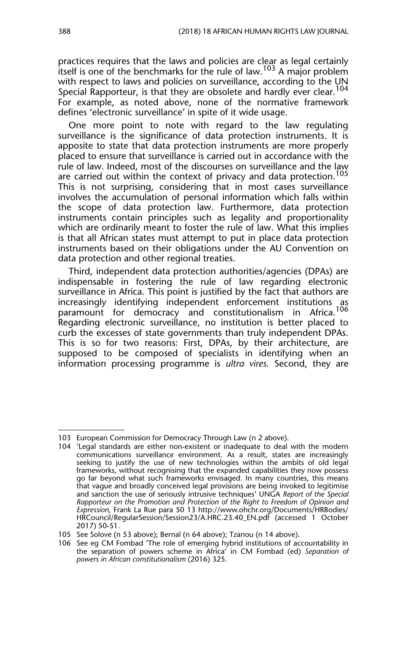practices requires that the laws and policies are clear as legal certainly itself is one of the benchmarks for the rule of law.<sup>103</sup> A major problem with respect to laws and policies on surveillance, according to the UN Special Rapporteur, is that they are obsolete and hardly ever clear.<sup>104</sup> For example, as noted above, none of the normative framework defines 'electronic surveillance' in spite of it wide usage.

One more point to note with regard to the law regulating surveillance is the significance of data protection instruments. It is apposite to state that data protection instruments are more properly placed to ensure that surveillance is carried out in accordance with the rule of law. Indeed, most of the discourses on surveillance and the law are carried out within the context of privacy and data protection.<sup>105</sup> This is not surprising, considering that in most cases surveillance involves the accumulation of personal information which falls within the scope of data protection law. Furthermore, data protection instruments contain principles such as legality and proportionality which are ordinarily meant to foster the rule of law. What this implies is that all African states must attempt to put in place data protection instruments based on their obligations under the AU Convention on data protection and other regional treaties.

Third, independent data protection authorities/agencies (DPAs) are indispensable in fostering the rule of law regarding electronic surveillance in Africa. This point is justified by the fact that authors are increasingly identifying independent enforcement institutions as paramount for democracy and constitutionalism in Africa.<sup>106</sup> Regarding electronic surveillance, no institution is better placed to curb the excesses of state governments than truly independent DPAs. This is so for two reasons: First, DPAs, by their architecture, are supposed to be composed of specialists in identifying when an information processing programme is *ultra vires.* Second, they are

<sup>103</sup> European Commission for Democracy Through Law (n 2 above).

<sup>104 &#</sup>x27;Legal standards are either non-existent or inadequate to deal with the modern communications surveillance environment. As a result, states are increasingly seeking to justify the use of new technologies within the ambits of old legal frameworks, without recognising that the expanded capabilities they now possess go far beyond what such frameworks envisaged. In many countries, this means that vague and broadly conceived legal provisions are being invoked to legitimise and sanction the use of seriously intrusive techniques' UNGA *Report of the Special Rapporteur on the Promotion and Protection of the Right to Freedom of Opinion and Expression,* Frank La Rue para 50 13 http://www.ohchr.org/Documents/HRBodies/ HRCouncil/RegularSession/Session23/A.HRC.23.40\_EN.pdf (accessed 1 October 2017) 50-51.

<sup>105</sup> See Solove (n 53 above); Bernal (n 64 above); Tzanou (n 14 above).

<sup>106</sup> See eg CM Fombad 'The role of emerging hybrid institutions of accountability in the separation of powers scheme in Africa' in CM Fombad (ed) *Separation of powers in African constitutionalism* (2016) 325.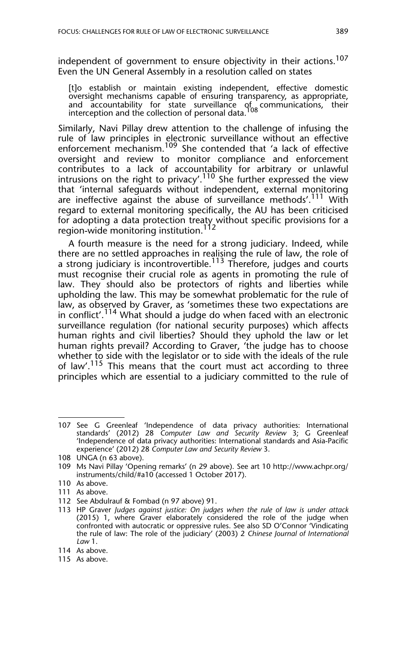independent of government to ensure objectivity in their actions.<sup>107</sup> Even the UN General Assembly in a resolution called on states

[t]o establish or maintain existing independent, effective domestic oversight mechanisms capable of ensuring transparency, as appropriate, and accountability for state surveillance of communications, their<br>interception and the collection of personal data.<sup>108</sup>

Similarly, Navi Pillay drew attention to the challenge of infusing the rule of law principles in electronic surveillance without an effective enforcement mechanism.<sup>109</sup> She contended that 'a lack of effective oversight and review to monitor compliance and enforcement contributes to a lack of accountability for arbitrary or unlawful intrusions on the right to privacy'.110 She further expressed the view that 'internal safeguards without independent, external monitoring are ineffective against the abuse of surveillance methods'.<sup>111</sup> With regard to external monitoring specifically, the AU has been criticised for adopting a data protection treaty without specific provisions for a region-wide monitoring institution.112

A fourth measure is the need for a strong judiciary. Indeed, while there are no settled approaches in realising the rule of law, the role of a strong judiciary is incontrovertible.<sup>113</sup> Therefore, judges and courts must recognise their crucial role as agents in promoting the rule of law. They should also be protectors of rights and liberties while upholding the law. This may be somewhat problematic for the rule of law, as observed by Graver, as 'sometimes these two expectations are in conflict'.<sup>114</sup> What should a judge do when faced with an electronic surveillance regulation (for national security purposes) which affects human rights and civil liberties? Should they uphold the law or let human rights prevail? According to Graver, 'the judge has to choose whether to side with the legislator or to side with the ideals of the rule of law'.<sup>115</sup> This means that the court must act according to three principles which are essential to a judiciary committed to the rule of

<sup>107</sup> See G Greenleaf 'Independence of data privacy authorities: International standards' (2012) 28 *Computer Law and Security Review* 3; G Greenleaf 'Independence of data privacy authorities: International standards and Asia-Pacific experience' (2012) 28 *Computer Law and Security Review* 3.

<sup>108</sup> UNGA (n 63 above).

<sup>109</sup> Ms Navi Pillay 'Opening remarks' (n 29 above). See art 10 http://www.achpr.org/ instruments/child/#a10 (accessed 1 October 2017).

<sup>110</sup> As above.

<sup>111</sup> As above.

<sup>112</sup> See Abdulrauf & Fombad (n 97 above) 91.

<sup>113</sup> HP Graver *Judges against justice: On judges when the rule of law is under attack* (2015) 1, where Graver elaborately considered the role of the judge when confronted with autocratic or oppressive rules. See also SD O'Connor 'Vindicating the rule of law: The role of the judiciary' (2003) 2 *Chinese Journal of International Law* 1.

<sup>114</sup> As above.

<sup>115</sup> As above.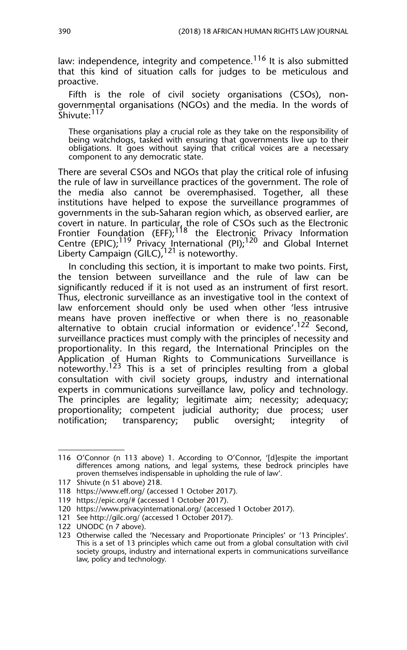law: independence, integrity and competence.<sup>116</sup> It is also submitted that this kind of situation calls for judges to be meticulous and proactive.

Fifth is the role of civil society organisations (CSOs), nongovernmental organisations (NGOs) and the media. In the words of Shivute: 117

These organisations play a crucial role as they take on the responsibility of being watchdogs, tasked with ensuring that governments live up to their obligations. It goes without saying that critical voices are a necessary component to any democratic state.

There are several CSOs and NGOs that play the critical role of infusing the rule of law in surveillance practices of the government. The role of the media also cannot be overemphasised. Together, all these institutions have helped to expose the surveillance programmes of governments in the sub-Saharan region which, as observed earlier, are covert in nature. In particular, the role of CSOs such as the Electronic Frontier Foundation (EFF);<sup>118</sup> the Electronic Privacy Information Centre (EPIC);<sup>119</sup> Privacy International (PI);<sup>120</sup> and Global Internet Liberty Campaign (GILC),  $121$  is noteworthy.

In concluding this section, it is important to make two points. First, the tension between surveillance and the rule of law can be significantly reduced if it is not used as an instrument of first resort. Thus, electronic surveillance as an investigative tool in the context of law enforcement should only be used when other 'less intrusive means have proven ineffective or when there is no reasonable alternative to obtain crucial information or evidence'.<sup>122</sup> Second, surveillance practices must comply with the principles of necessity and proportionality. In this regard, the International Principles on the Application of Human Rights to Communications Surveillance is noteworthy.<sup>123</sup> This is a set of principles resulting from a global consultation with civil society groups, industry and international experts in communications surveillance law, policy and technology. The principles are legality; legitimate aim; necessity; adequacy; proportionality; competent judicial authority; due process; user notification; transparency; public oversight; integrity of

<sup>116</sup> O'Connor (n 113 above) 1. According to O'Connor, '[d]espite the important differences among nations, and legal systems, these bedrock principles have proven themselves indispensable in upholding the rule of law'.

<sup>117</sup> Shivute (n 51 above) 218.

<sup>118</sup> https://www.eff.org/ (accessed 1 October 2017).

<sup>119</sup> https://epic.org/# (accessed 1 October 2017).

<sup>120</sup> https://www.privacyinternational.org/ (accessed 1 October 2017).

<sup>121</sup> See http://gilc.org/ (accessed 1 October 2017).

<sup>122</sup> UNODC (n 7 above).

<sup>123</sup> Otherwise called the 'Necessary and Proportionate Principles' or '13 Principles'. This is a set of 13 principles which came out from a global consultation with civil society groups, industry and international experts in communications surveillance law, policy and technology.